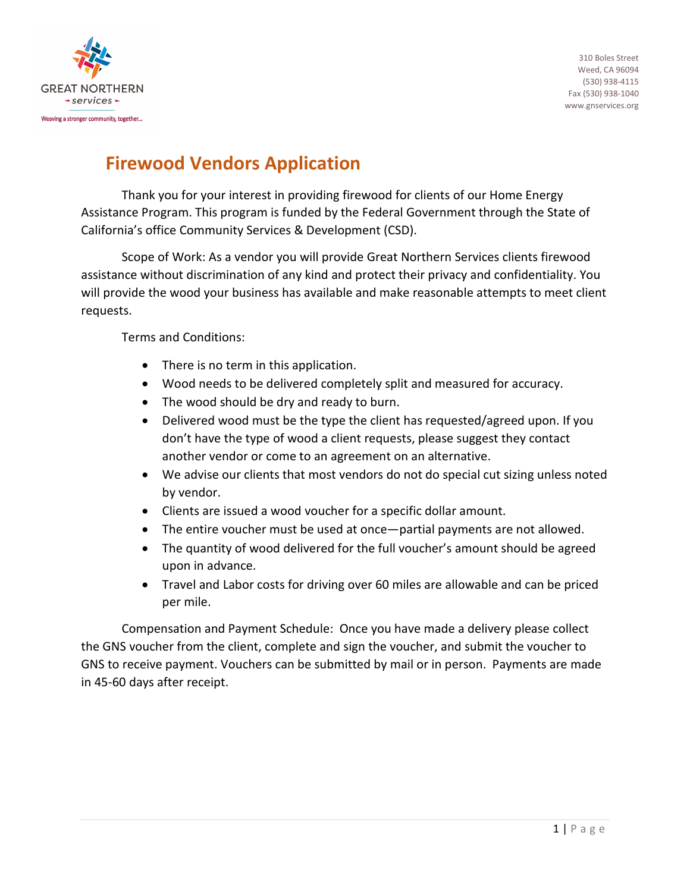

## **Firewood Vendors Application**

Thank you for your interest in providing firewood for clients of our Home Energy Assistance Program. This program is funded by the Federal Government through the State of California's office Community Services & Development (CSD).

Scope of Work: As a vendor you will provide Great Northern Services clients firewood assistance without discrimination of any kind and protect their privacy and confidentiality. You will provide the wood your business has available and make reasonable attempts to meet client requests.

Terms and Conditions:

- There is no term in this application.
- Wood needs to be delivered completely split and measured for accuracy.
- The wood should be dry and ready to burn.
- Delivered wood must be the type the client has requested/agreed upon. If you don't have the type of wood a client requests, please suggest they contact another vendor or come to an agreement on an alternative.
- We advise our clients that most vendors do not do special cut sizing unless noted by vendor.
- Clients are issued a wood voucher for a specific dollar amount.
- The entire voucher must be used at once—partial payments are not allowed.
- The quantity of wood delivered for the full voucher's amount should be agreed upon in advance.
- Travel and Labor costs for driving over 60 miles are allowable and can be priced per mile.

Compensation and Payment Schedule: Once you have made a delivery please collect the GNS voucher from the client, complete and sign the voucher, and submit the voucher to GNS to receive payment. Vouchers can be submitted by mail or in person. Payments are made in 45-60 days after receipt.